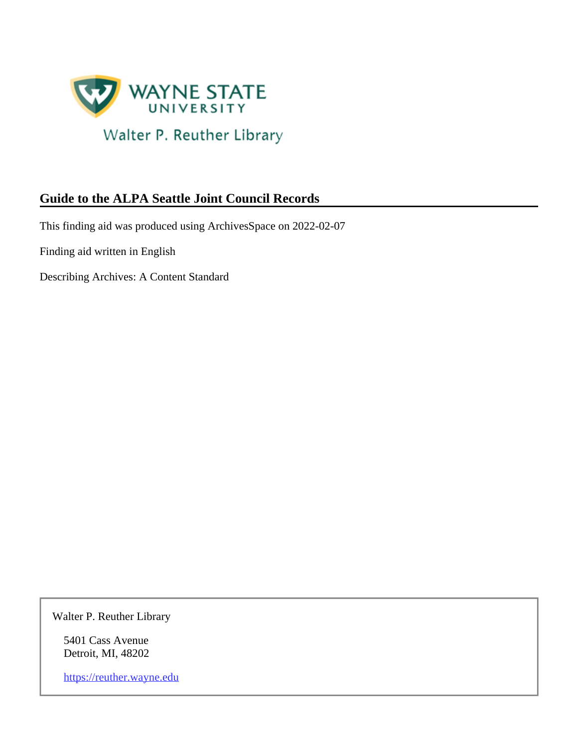

# **Guide to the ALPA Seattle Joint Council Records**

This finding aid was produced using ArchivesSpace on 2022-02-07

Finding aid written in English

Describing Archives: A Content Standard

Walter P. Reuther Library

5401 Cass Avenue Detroit, MI, 48202

<https://reuther.wayne.edu>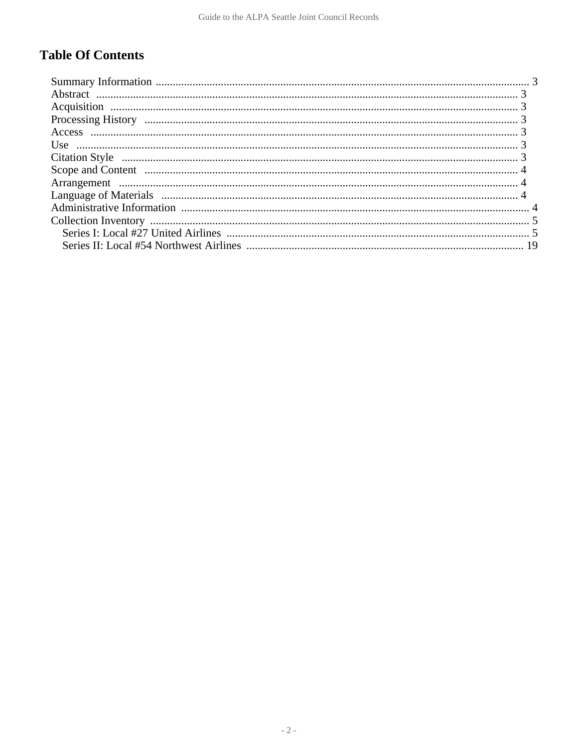# **Table Of Contents**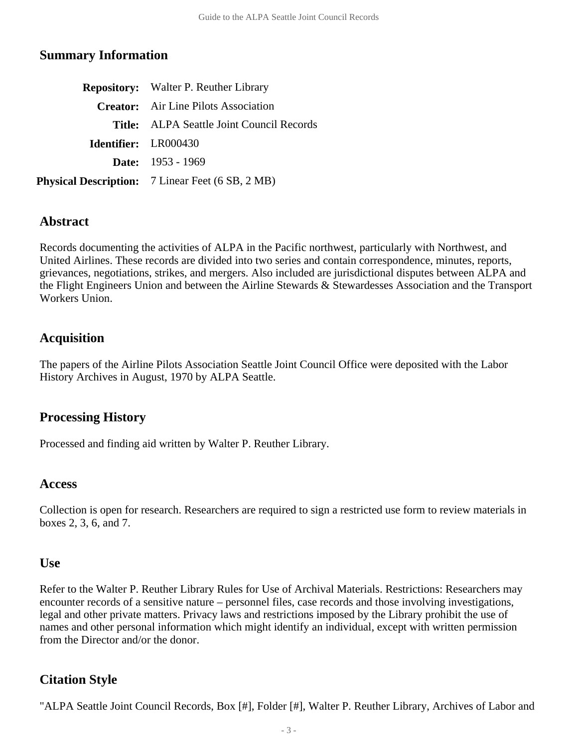#### <span id="page-2-0"></span>**Summary Information**

| <b>Repository:</b> Walter P. Reuther Library            |  |
|---------------------------------------------------------|--|
| <b>Creator:</b> Air Line Pilots Association             |  |
| Title: ALPA Seattle Joint Council Records               |  |
| Identifier: LR000430                                    |  |
| <b>Date:</b> $1953 - 1969$                              |  |
| <b>Physical Description:</b> 7 Linear Feet (6 SB, 2 MB) |  |

#### <span id="page-2-1"></span>**Abstract**

Records documenting the activities of ALPA in the Pacific northwest, particularly with Northwest, and United Airlines. These records are divided into two series and contain correspondence, minutes, reports, grievances, negotiations, strikes, and mergers. Also included are jurisdictional disputes between ALPA and the Flight Engineers Union and between the Airline Stewards & Stewardesses Association and the Transport Workers Union.

## <span id="page-2-2"></span>**Acquisition**

The papers of the Airline Pilots Association Seattle Joint Council Office were deposited with the Labor History Archives in August, 1970 by ALPA Seattle.

## <span id="page-2-3"></span>**Processing History**

Processed and finding aid written by Walter P. Reuther Library.

#### <span id="page-2-4"></span>**Access**

Collection is open for research. Researchers are required to sign a restricted use form to review materials in boxes 2, 3, 6, and 7.

#### <span id="page-2-5"></span>**Use**

Refer to the Walter P. Reuther Library Rules for Use of Archival Materials. Restrictions: Researchers may encounter records of a sensitive nature – personnel files, case records and those involving investigations, legal and other private matters. Privacy laws and restrictions imposed by the Library prohibit the use of names and other personal information which might identify an individual, except with written permission from the Director and/or the donor.

## <span id="page-2-6"></span>**Citation Style**

"ALPA Seattle Joint Council Records, Box [#], Folder [#], Walter P. Reuther Library, Archives of Labor and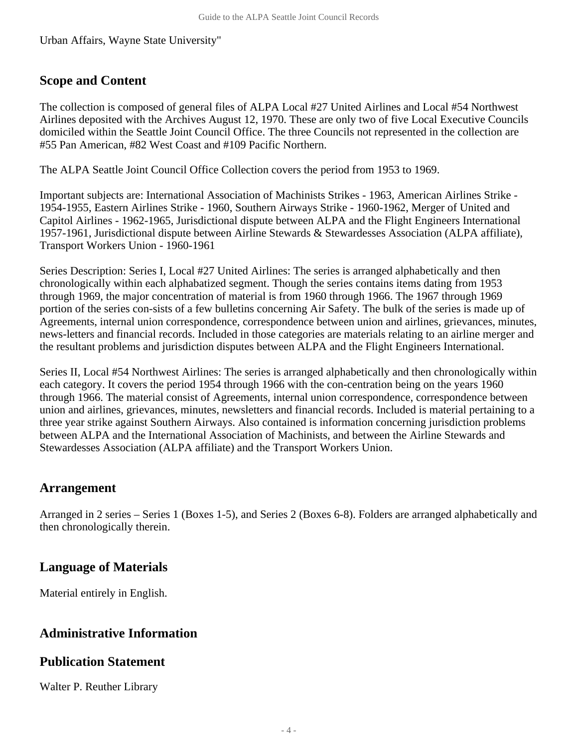Urban Affairs, Wayne State University"

## <span id="page-3-0"></span>**Scope and Content**

The collection is composed of general files of ALPA Local #27 United Airlines and Local #54 Northwest Airlines deposited with the Archives August 12, 1970. These are only two of five Local Executive Councils domiciled within the Seattle Joint Council Office. The three Councils not represented in the collection are #55 Pan American, #82 West Coast and #109 Pacific Northern.

The ALPA Seattle Joint Council Office Collection covers the period from 1953 to 1969.

Important subjects are: International Association of Machinists Strikes - 1963, American Airlines Strike - 1954-1955, Eastern Airlines Strike - 1960, Southern Airways Strike - 1960-1962, Merger of United and Capitol Airlines - 1962-1965, Jurisdictional dispute between ALPA and the Flight Engineers International 1957-1961, Jurisdictional dispute between Airline Stewards & Stewardesses Association (ALPA affiliate), Transport Workers Union - 1960-1961

Series Description: Series I, Local #27 United Airlines: The series is arranged alphabetically and then chronologically within each alphabatized segment. Though the series contains items dating from 1953 through 1969, the major concentration of material is from 1960 through 1966. The 1967 through 1969 portion of the series con-sists of a few bulletins concerning Air Safety. The bulk of the series is made up of Agreements, internal union correspondence, correspondence between union and airlines, grievances, minutes, news-letters and financial records. Included in those categories are materials relating to an airline merger and the resultant problems and jurisdiction disputes between ALPA and the Flight Engineers International.

Series II, Local #54 Northwest Airlines: The series is arranged alphabetically and then chronologically within each category. It covers the period 1954 through 1966 with the con-centration being on the years 1960 through 1966. The material consist of Agreements, internal union correspondence, correspondence between union and airlines, grievances, minutes, newsletters and financial records. Included is material pertaining to a three year strike against Southern Airways. Also contained is information concerning jurisdiction problems between ALPA and the International Association of Machinists, and between the Airline Stewards and Stewardesses Association (ALPA affiliate) and the Transport Workers Union.

## <span id="page-3-1"></span>**Arrangement**

Arranged in 2 series – Series 1 (Boxes 1-5), and Series 2 (Boxes 6-8). Folders are arranged alphabetically and then chronologically therein.

## <span id="page-3-2"></span>**Language of Materials**

Material entirely in English.

## <span id="page-3-3"></span>**Administrative Information**

## **Publication Statement**

Walter P. Reuther Library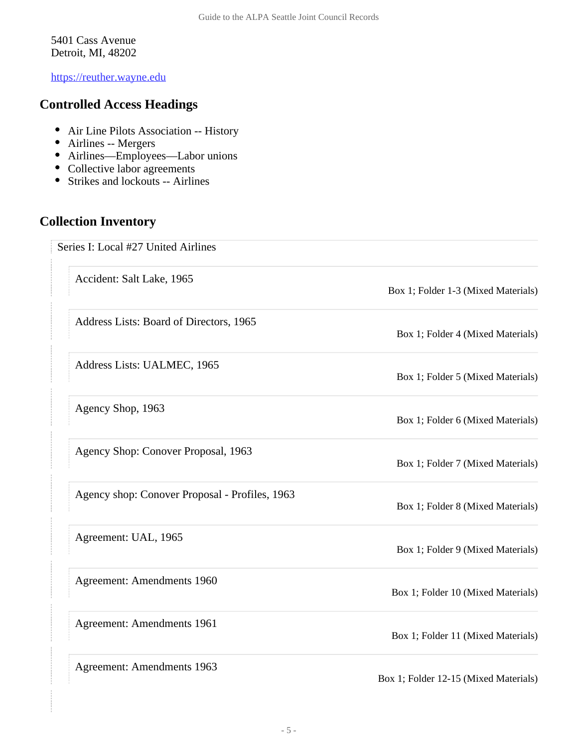5401 Cass Avenue Detroit, MI, 48202

<https://reuther.wayne.edu>

#### **Controlled Access Headings**

- Air Line Pilots Association -- History
- Airlines -- Mergers
- Airlines—Employees—Labor unions
- Collective labor agreements
- Strikes and lockouts -- Airlines

## <span id="page-4-1"></span><span id="page-4-0"></span>**Collection Inventory**

Series I: Local #27 United Airlines

Accident: Salt Lake, 1965

Address Lists: Board of Directors, 1965

Address Lists: UALMEC, 1965

Agency Shop, 1963

Agency Shop: Conover Proposal, 1963

Agency shop: Conover Proposal - Profiles, 1963

Agreement: UAL, 1965

Agreement: Amendments 1960

Agreement: Amendments 1961

Agreement: Amendments 1963

Box 1; Folder 1-3 (Mixed Materials)

Box 1; Folder 4 (Mixed Materials)

Box 1; Folder 5 (Mixed Materials)

Box 1; Folder 6 (Mixed Materials)

Box 1; Folder 7 (Mixed Materials)

Box 1; Folder 8 (Mixed Materials)

Box 1; Folder 9 (Mixed Materials)

Box 1; Folder 10 (Mixed Materials)

Box 1; Folder 11 (Mixed Materials)

Box 1; Folder 12-15 (Mixed Materials)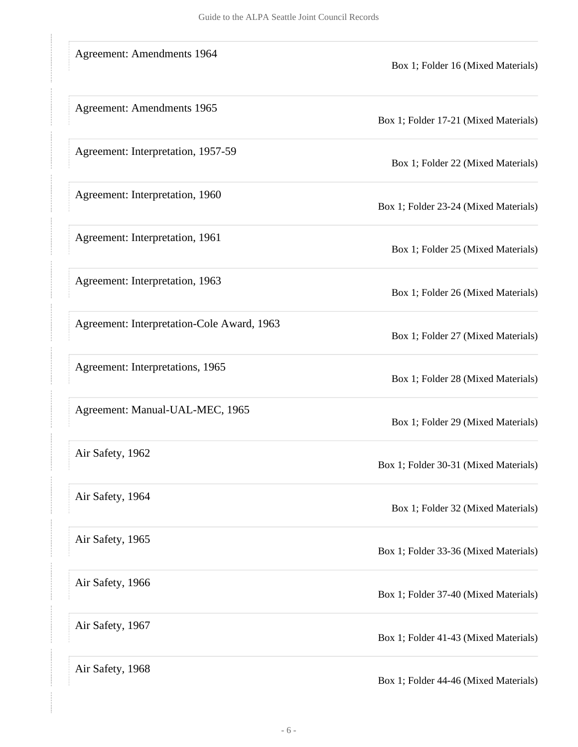| <b>Agreement: Amendments 1964</b>          | Box 1; Folder 16 (Mixed Materials)    |
|--------------------------------------------|---------------------------------------|
| Agreement: Amendments 1965                 | Box 1; Folder 17-21 (Mixed Materials) |
| Agreement: Interpretation, 1957-59         | Box 1; Folder 22 (Mixed Materials)    |
| Agreement: Interpretation, 1960            | Box 1; Folder 23-24 (Mixed Materials) |
| Agreement: Interpretation, 1961            | Box 1; Folder 25 (Mixed Materials)    |
| Agreement: Interpretation, 1963            | Box 1; Folder 26 (Mixed Materials)    |
| Agreement: Interpretation-Cole Award, 1963 | Box 1; Folder 27 (Mixed Materials)    |
| Agreement: Interpretations, 1965           | Box 1; Folder 28 (Mixed Materials)    |
| Agreement: Manual-UAL-MEC, 1965            | Box 1; Folder 29 (Mixed Materials)    |
| Air Safety, 1962                           | Box 1; Folder 30-31 (Mixed Materials) |
| Air Safety, 1964                           | Box 1; Folder 32 (Mixed Materials)    |
| Air Safety, 1965                           | Box 1; Folder 33-36 (Mixed Materials) |
| Air Safety, 1966                           | Box 1; Folder 37-40 (Mixed Materials) |
| Air Safety, 1967                           | Box 1; Folder 41-43 (Mixed Materials) |
| Air Safety, 1968                           | Box 1; Folder 44-46 (Mixed Materials) |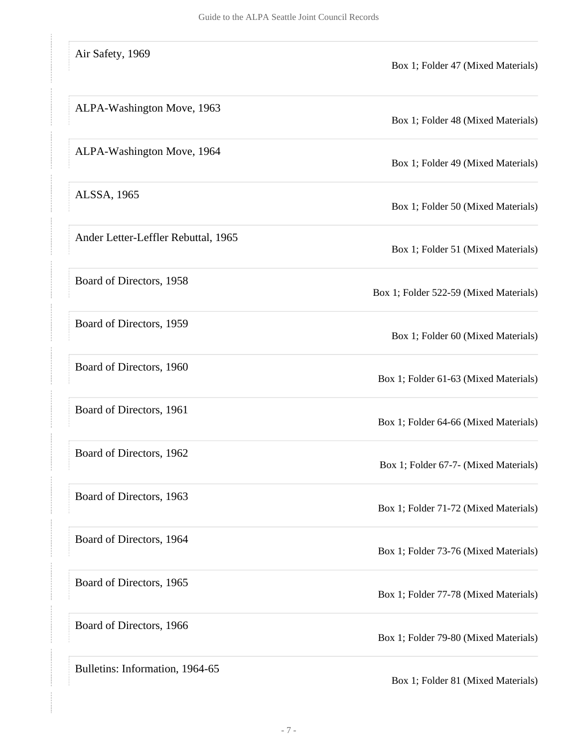| Air Safety, 1969                    | Box 1; Folder 47 (Mixed Materials)     |
|-------------------------------------|----------------------------------------|
| ALPA-Washington Move, 1963          | Box 1; Folder 48 (Mixed Materials)     |
| ALPA-Washington Move, 1964          | Box 1; Folder 49 (Mixed Materials)     |
| ALSSA, 1965                         | Box 1; Folder 50 (Mixed Materials)     |
| Ander Letter-Leffler Rebuttal, 1965 | Box 1; Folder 51 (Mixed Materials)     |
| Board of Directors, 1958            | Box 1; Folder 522-59 (Mixed Materials) |
| Board of Directors, 1959            | Box 1; Folder 60 (Mixed Materials)     |
| Board of Directors, 1960            | Box 1; Folder 61-63 (Mixed Materials)  |
| Board of Directors, 1961            | Box 1; Folder 64-66 (Mixed Materials)  |
| Board of Directors, 1962            | Box 1; Folder 67-7- (Mixed Materials)  |
| Board of Directors, 1963            | Box 1; Folder 71-72 (Mixed Materials)  |
| Board of Directors, 1964            | Box 1; Folder 73-76 (Mixed Materials)  |
| Board of Directors, 1965            | Box 1; Folder 77-78 (Mixed Materials)  |
| Board of Directors, 1966            | Box 1; Folder 79-80 (Mixed Materials)  |
| Bulletins: Information, 1964-65     | Box 1; Folder 81 (Mixed Materials)     |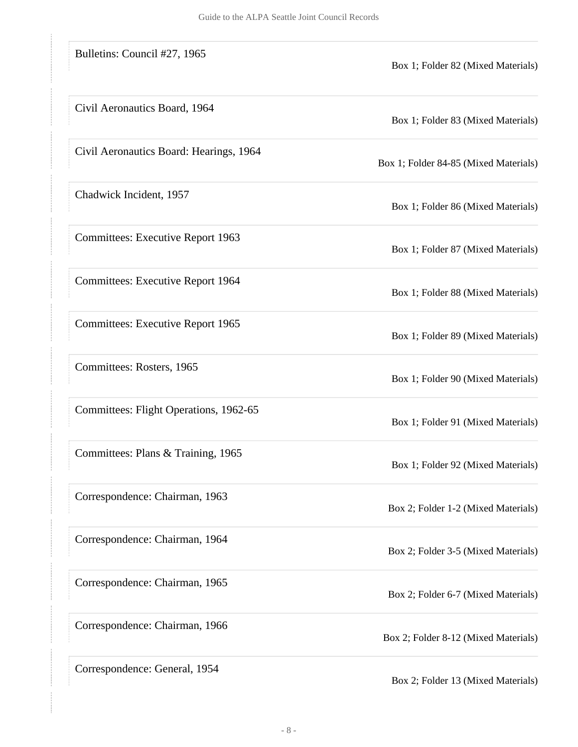| Bulletins: Council #27, 1965             | Box 1; Folder 82 (Mixed Materials)    |
|------------------------------------------|---------------------------------------|
| Civil Aeronautics Board, 1964            | Box 1; Folder 83 (Mixed Materials)    |
| Civil Aeronautics Board: Hearings, 1964  | Box 1; Folder 84-85 (Mixed Materials) |
| Chadwick Incident, 1957                  | Box 1; Folder 86 (Mixed Materials)    |
| <b>Committees: Executive Report 1963</b> | Box 1; Folder 87 (Mixed Materials)    |
| <b>Committees: Executive Report 1964</b> | Box 1; Folder 88 (Mixed Materials)    |
| <b>Committees: Executive Report 1965</b> | Box 1; Folder 89 (Mixed Materials)    |
| Committees: Rosters, 1965                | Box 1; Folder 90 (Mixed Materials)    |
| Committees: Flight Operations, 1962-65   | Box 1; Folder 91 (Mixed Materials)    |
| Committees: Plans & Training, 1965       | Box 1; Folder 92 (Mixed Materials)    |
| Correspondence: Chairman, 1963           | Box 2; Folder 1-2 (Mixed Materials)   |
| Correspondence: Chairman, 1964           | Box 2; Folder 3-5 (Mixed Materials)   |
| Correspondence: Chairman, 1965           | Box 2; Folder 6-7 (Mixed Materials)   |
| Correspondence: Chairman, 1966           | Box 2; Folder 8-12 (Mixed Materials)  |
| Correspondence: General, 1954            | Box 2; Folder 13 (Mixed Materials)    |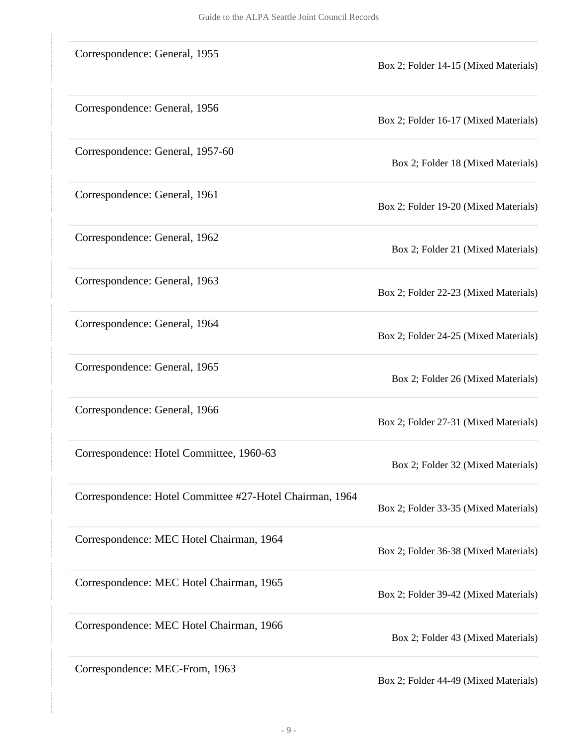| Correspondence: General, 1955                            | Box 2; Folder 14-15 (Mixed Materials) |
|----------------------------------------------------------|---------------------------------------|
| Correspondence: General, 1956                            | Box 2; Folder 16-17 (Mixed Materials) |
| Correspondence: General, 1957-60                         | Box 2; Folder 18 (Mixed Materials)    |
| Correspondence: General, 1961                            | Box 2; Folder 19-20 (Mixed Materials) |
| Correspondence: General, 1962                            | Box 2; Folder 21 (Mixed Materials)    |
| Correspondence: General, 1963                            | Box 2; Folder 22-23 (Mixed Materials) |
| Correspondence: General, 1964                            | Box 2; Folder 24-25 (Mixed Materials) |
| Correspondence: General, 1965                            | Box 2; Folder 26 (Mixed Materials)    |
| Correspondence: General, 1966                            | Box 2; Folder 27-31 (Mixed Materials) |
| Correspondence: Hotel Committee, 1960-63                 | Box 2; Folder 32 (Mixed Materials)    |
| Correspondence: Hotel Committee #27-Hotel Chairman, 1964 | Box 2; Folder 33-35 (Mixed Materials) |
| Correspondence: MEC Hotel Chairman, 1964                 | Box 2; Folder 36-38 (Mixed Materials) |
| Correspondence: MEC Hotel Chairman, 1965                 | Box 2; Folder 39-42 (Mixed Materials) |
| Correspondence: MEC Hotel Chairman, 1966                 | Box 2; Folder 43 (Mixed Materials)    |
| Correspondence: MEC-From, 1963                           | Box 2; Folder 44-49 (Mixed Materials) |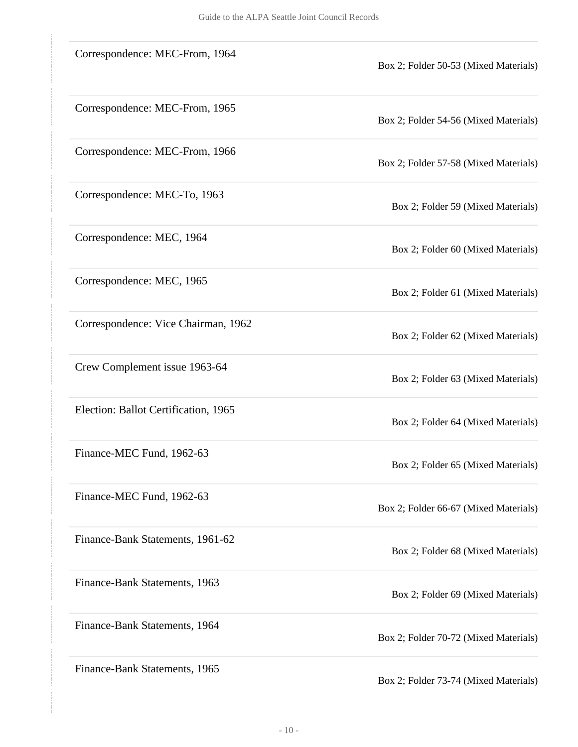| Correspondence: MEC-From, 1964       | Box 2; Folder 50-53 (Mixed Materials) |
|--------------------------------------|---------------------------------------|
| Correspondence: MEC-From, 1965       | Box 2; Folder 54-56 (Mixed Materials) |
| Correspondence: MEC-From, 1966       | Box 2; Folder 57-58 (Mixed Materials) |
| Correspondence: MEC-To, 1963         | Box 2; Folder 59 (Mixed Materials)    |
| Correspondence: MEC, 1964            | Box 2; Folder 60 (Mixed Materials)    |
| Correspondence: MEC, 1965            | Box 2; Folder 61 (Mixed Materials)    |
| Correspondence: Vice Chairman, 1962  | Box 2; Folder 62 (Mixed Materials)    |
| Crew Complement issue 1963-64        | Box 2; Folder 63 (Mixed Materials)    |
| Election: Ballot Certification, 1965 | Box 2; Folder 64 (Mixed Materials)    |
| Finance-MEC Fund, 1962-63            | Box 2; Folder 65 (Mixed Materials)    |
| Finance-MEC Fund, 1962-63            | Box 2; Folder 66-67 (Mixed Materials) |
| Finance-Bank Statements, 1961-62     | Box 2; Folder 68 (Mixed Materials)    |
| Finance-Bank Statements, 1963        | Box 2; Folder 69 (Mixed Materials)    |
| Finance-Bank Statements, 1964        | Box 2; Folder 70-72 (Mixed Materials) |
| Finance-Bank Statements, 1965        | Box 2; Folder 73-74 (Mixed Materials) |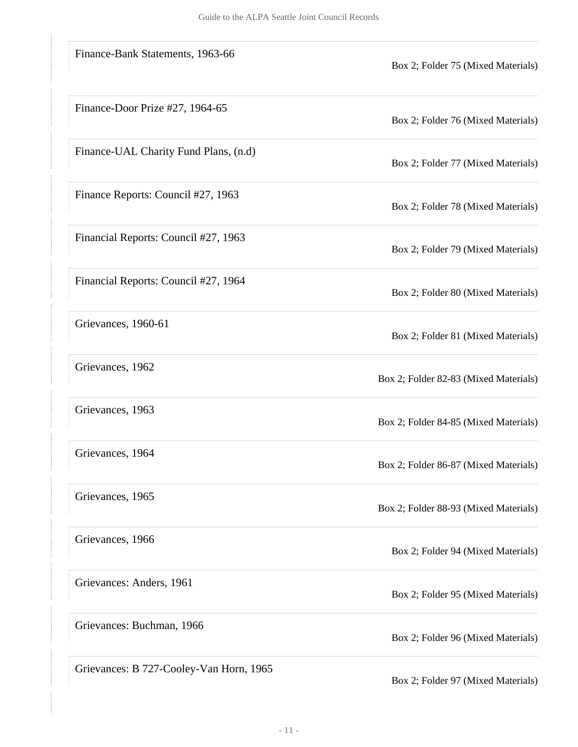| Finance-Bank Statements, 1963-66        | Box 2; Folder 75 (Mixed Materials)    |
|-----------------------------------------|---------------------------------------|
| Finance-Door Prize #27, 1964-65         | Box 2; Folder 76 (Mixed Materials)    |
| Finance-UAL Charity Fund Plans, (n.d)   | Box 2; Folder 77 (Mixed Materials)    |
| Finance Reports: Council #27, 1963      | Box 2; Folder 78 (Mixed Materials)    |
| Financial Reports: Council #27, 1963    | Box 2; Folder 79 (Mixed Materials)    |
| Financial Reports: Council #27, 1964    | Box 2; Folder 80 (Mixed Materials)    |
| Grievances, 1960-61                     | Box 2; Folder 81 (Mixed Materials)    |
| Grievances, 1962                        | Box 2; Folder 82-83 (Mixed Materials) |
| Grievances, 1963                        | Box 2; Folder 84-85 (Mixed Materials) |
| Grievances, 1964                        | Box 2; Folder 86-87 (Mixed Materials) |
| Grievances, 1965                        | Box 2; Folder 88-93 (Mixed Materials) |
| Grievances, 1966                        | Box 2; Folder 94 (Mixed Materials)    |
| Grievances: Anders, 1961                | Box 2; Folder 95 (Mixed Materials)    |
| Grievances: Buchman, 1966               | Box 2; Folder 96 (Mixed Materials)    |
| Grievances: B 727-Cooley-Van Horn, 1965 | Box 2; Folder 97 (Mixed Materials)    |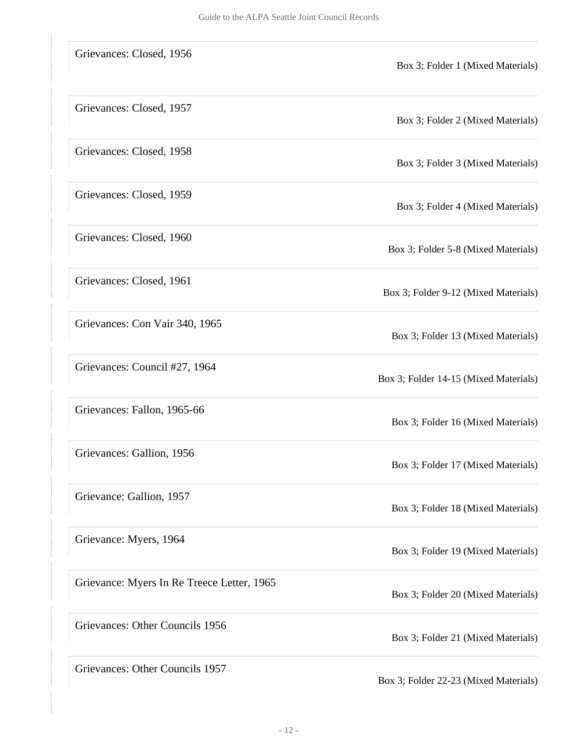| Grievances: Closed, 1956                   | Box 3; Folder 1 (Mixed Materials)     |
|--------------------------------------------|---------------------------------------|
| Grievances: Closed, 1957                   | Box 3; Folder 2 (Mixed Materials)     |
| Grievances: Closed, 1958                   | Box 3; Folder 3 (Mixed Materials)     |
| Grievances: Closed, 1959                   | Box 3; Folder 4 (Mixed Materials)     |
| Grievances: Closed, 1960                   | Box 3; Folder 5-8 (Mixed Materials)   |
| Grievances: Closed, 1961                   | Box 3; Folder 9-12 (Mixed Materials)  |
| Grievances: Con Vair 340, 1965             | Box 3; Folder 13 (Mixed Materials)    |
| Grievances: Council #27, 1964              | Box 3; Folder 14-15 (Mixed Materials) |
| Grievances: Fallon, 1965-66                | Box 3; Folder 16 (Mixed Materials)    |
| Grievances: Gallion, 1956                  | Box 3; Folder 17 (Mixed Materials)    |
| Grievance: Gallion, 1957                   | Box 3; Folder 18 (Mixed Materials)    |
| Grievance: Myers, 1964                     | Box 3; Folder 19 (Mixed Materials)    |
| Grievance: Myers In Re Treece Letter, 1965 | Box 3; Folder 20 (Mixed Materials)    |
| Grievances: Other Councils 1956            | Box 3; Folder 21 (Mixed Materials)    |
| Grievances: Other Councils 1957            | Box 3; Folder 22-23 (Mixed Materials) |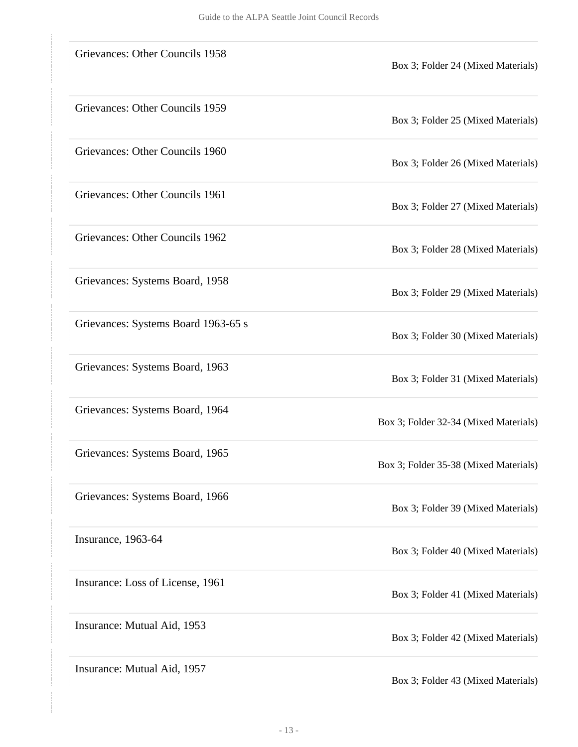| Grievances: Other Councils 1958     | Box 3; Folder 24 (Mixed Materials)    |
|-------------------------------------|---------------------------------------|
| Grievances: Other Councils 1959     | Box 3; Folder 25 (Mixed Materials)    |
| Grievances: Other Councils 1960     | Box 3; Folder 26 (Mixed Materials)    |
| Grievances: Other Councils 1961     | Box 3; Folder 27 (Mixed Materials)    |
| Grievances: Other Councils 1962     | Box 3; Folder 28 (Mixed Materials)    |
| Grievances: Systems Board, 1958     | Box 3; Folder 29 (Mixed Materials)    |
| Grievances: Systems Board 1963-65 s | Box 3; Folder 30 (Mixed Materials)    |
| Grievances: Systems Board, 1963     | Box 3; Folder 31 (Mixed Materials)    |
| Grievances: Systems Board, 1964     | Box 3; Folder 32-34 (Mixed Materials) |
| Grievances: Systems Board, 1965     | Box 3; Folder 35-38 (Mixed Materials) |
| Grievances: Systems Board, 1966     | Box 3; Folder 39 (Mixed Materials)    |
| Insurance, 1963-64                  | Box 3; Folder 40 (Mixed Materials)    |
| Insurance: Loss of License, 1961    | Box 3; Folder 41 (Mixed Materials)    |
| Insurance: Mutual Aid, 1953         | Box 3; Folder 42 (Mixed Materials)    |
| Insurance: Mutual Aid, 1957         | Box 3; Folder 43 (Mixed Materials)    |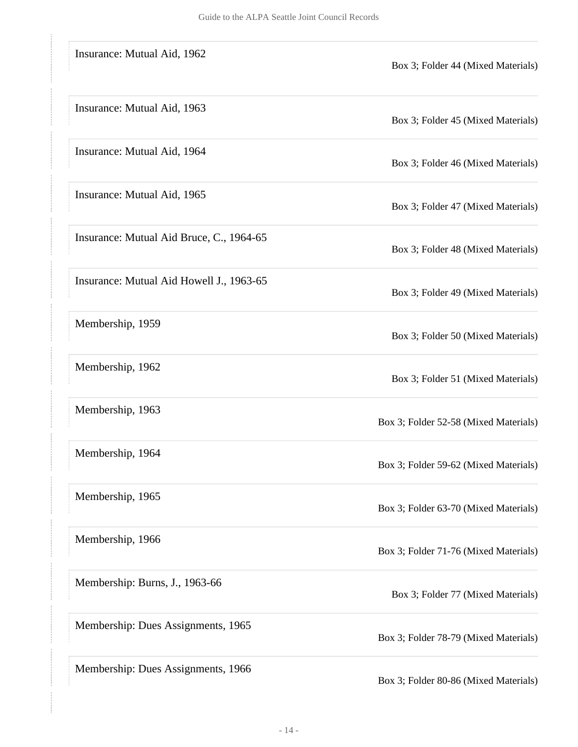| Insurance: Mutual Aid, 1962              | Box 3; Folder 44 (Mixed Materials)    |
|------------------------------------------|---------------------------------------|
| Insurance: Mutual Aid, 1963              | Box 3; Folder 45 (Mixed Materials)    |
| Insurance: Mutual Aid, 1964              | Box 3; Folder 46 (Mixed Materials)    |
| Insurance: Mutual Aid, 1965              | Box 3; Folder 47 (Mixed Materials)    |
| Insurance: Mutual Aid Bruce, C., 1964-65 | Box 3; Folder 48 (Mixed Materials)    |
| Insurance: Mutual Aid Howell J., 1963-65 | Box 3; Folder 49 (Mixed Materials)    |
| Membership, 1959                         | Box 3; Folder 50 (Mixed Materials)    |
| Membership, 1962                         | Box 3; Folder 51 (Mixed Materials)    |
| Membership, 1963                         | Box 3; Folder 52-58 (Mixed Materials) |
| Membership, 1964                         | Box 3; Folder 59-62 (Mixed Materials) |
| Membership, 1965                         | Box 3; Folder 63-70 (Mixed Materials) |
| Membership, 1966                         | Box 3; Folder 71-76 (Mixed Materials) |
| Membership: Burns, J., 1963-66           | Box 3; Folder 77 (Mixed Materials)    |
| Membership: Dues Assignments, 1965       | Box 3; Folder 78-79 (Mixed Materials) |
| Membership: Dues Assignments, 1966       | Box 3; Folder 80-86 (Mixed Materials) |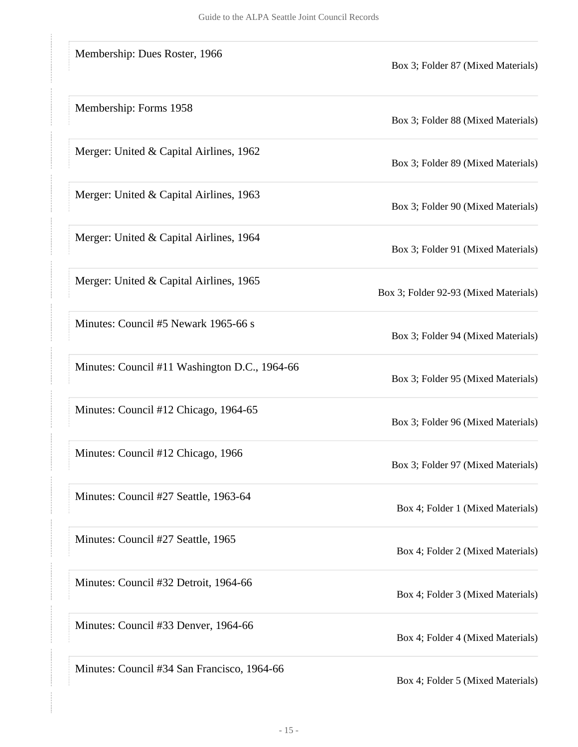| Membership: Dues Roster, 1966                 | Box 3; Folder 87 (Mixed Materials)    |
|-----------------------------------------------|---------------------------------------|
| Membership: Forms 1958                        | Box 3; Folder 88 (Mixed Materials)    |
| Merger: United & Capital Airlines, 1962       | Box 3; Folder 89 (Mixed Materials)    |
| Merger: United & Capital Airlines, 1963       | Box 3; Folder 90 (Mixed Materials)    |
| Merger: United & Capital Airlines, 1964       | Box 3; Folder 91 (Mixed Materials)    |
| Merger: United & Capital Airlines, 1965       | Box 3; Folder 92-93 (Mixed Materials) |
| Minutes: Council #5 Newark 1965-66 s          | Box 3; Folder 94 (Mixed Materials)    |
| Minutes: Council #11 Washington D.C., 1964-66 | Box 3; Folder 95 (Mixed Materials)    |
| Minutes: Council #12 Chicago, 1964-65         | Box 3; Folder 96 (Mixed Materials)    |
| Minutes: Council #12 Chicago, 1966            | Box 3; Folder 97 (Mixed Materials)    |
| Minutes: Council #27 Seattle, 1963-64         | Box 4; Folder 1 (Mixed Materials)     |
| Minutes: Council #27 Seattle, 1965            | Box 4; Folder 2 (Mixed Materials)     |
| Minutes: Council #32 Detroit, 1964-66         | Box 4; Folder 3 (Mixed Materials)     |
| Minutes: Council #33 Denver, 1964-66          | Box 4; Folder 4 (Mixed Materials)     |
| Minutes: Council #34 San Francisco, 1964-66   | Box 4; Folder 5 (Mixed Materials)     |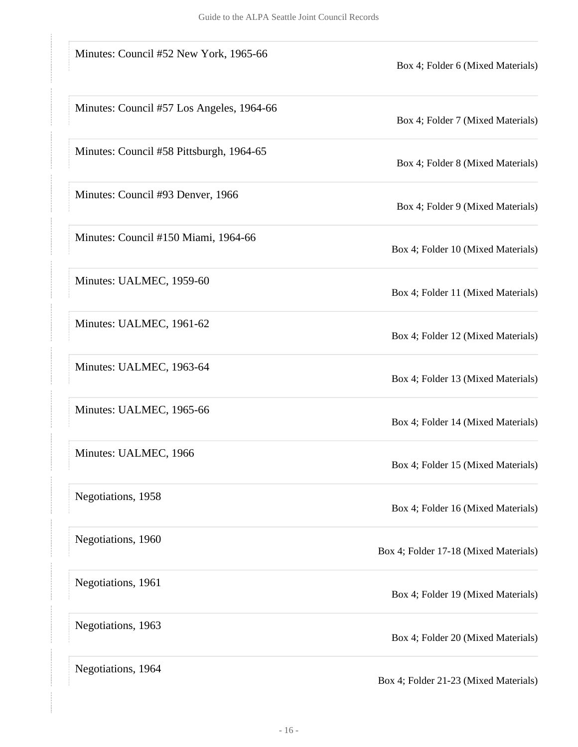| Minutes: Council #52 New York, 1965-66    | Box 4; Folder 6 (Mixed Materials)     |
|-------------------------------------------|---------------------------------------|
| Minutes: Council #57 Los Angeles, 1964-66 | Box 4; Folder 7 (Mixed Materials)     |
| Minutes: Council #58 Pittsburgh, 1964-65  | Box 4; Folder 8 (Mixed Materials)     |
| Minutes: Council #93 Denver, 1966         | Box 4; Folder 9 (Mixed Materials)     |
| Minutes: Council #150 Miami, 1964-66      | Box 4; Folder 10 (Mixed Materials)    |
| Minutes: UALMEC, 1959-60                  | Box 4; Folder 11 (Mixed Materials)    |
| Minutes: UALMEC, 1961-62                  | Box 4; Folder 12 (Mixed Materials)    |
| Minutes: UALMEC, 1963-64                  | Box 4; Folder 13 (Mixed Materials)    |
| Minutes: UALMEC, 1965-66                  | Box 4; Folder 14 (Mixed Materials)    |
| Minutes: UALMEC, 1966                     | Box 4; Folder 15 (Mixed Materials)    |
| Negotiations, 1958                        | Box 4; Folder 16 (Mixed Materials)    |
| Negotiations, 1960                        | Box 4; Folder 17-18 (Mixed Materials) |
| Negotiations, 1961                        | Box 4; Folder 19 (Mixed Materials)    |
| Negotiations, 1963                        | Box 4; Folder 20 (Mixed Materials)    |
| Negotiations, 1964                        | Box 4; Folder 21-23 (Mixed Materials) |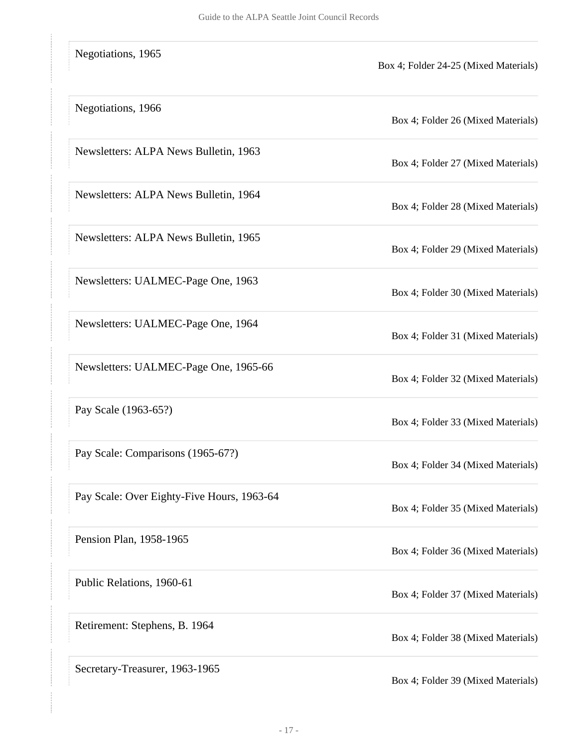| Negotiations, 1965                         | Box 4; Folder 24-25 (Mixed Materials) |
|--------------------------------------------|---------------------------------------|
| Negotiations, 1966                         | Box 4; Folder 26 (Mixed Materials)    |
| Newsletters: ALPA News Bulletin, 1963      | Box 4; Folder 27 (Mixed Materials)    |
| Newsletters: ALPA News Bulletin, 1964      | Box 4; Folder 28 (Mixed Materials)    |
| Newsletters: ALPA News Bulletin, 1965      | Box 4; Folder 29 (Mixed Materials)    |
| Newsletters: UALMEC-Page One, 1963         | Box 4; Folder 30 (Mixed Materials)    |
| Newsletters: UALMEC-Page One, 1964         | Box 4; Folder 31 (Mixed Materials)    |
| Newsletters: UALMEC-Page One, 1965-66      | Box 4; Folder 32 (Mixed Materials)    |
| Pay Scale (1963-65?)                       | Box 4; Folder 33 (Mixed Materials)    |
| Pay Scale: Comparisons (1965-67?)          | Box 4; Folder 34 (Mixed Materials)    |
| Pay Scale: Over Eighty-Five Hours, 1963-64 | Box 4; Folder 35 (Mixed Materials)    |
| Pension Plan, 1958-1965                    | Box 4; Folder 36 (Mixed Materials)    |
| Public Relations, 1960-61                  | Box 4; Folder 37 (Mixed Materials)    |
| Retirement: Stephens, B. 1964              | Box 4; Folder 38 (Mixed Materials)    |
| Secretary-Treasurer, 1963-1965             | Box 4; Folder 39 (Mixed Materials)    |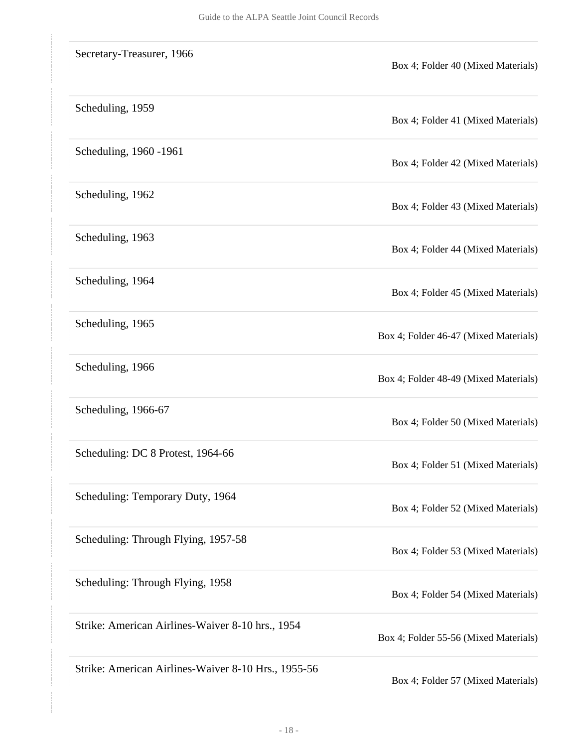| Secretary-Treasurer, 1966                           | Box 4; Folder 40 (Mixed Materials)    |
|-----------------------------------------------------|---------------------------------------|
| Scheduling, 1959                                    | Box 4; Folder 41 (Mixed Materials)    |
| Scheduling, 1960 -1961                              | Box 4; Folder 42 (Mixed Materials)    |
| Scheduling, 1962                                    | Box 4; Folder 43 (Mixed Materials)    |
| Scheduling, 1963                                    | Box 4; Folder 44 (Mixed Materials)    |
| Scheduling, 1964                                    | Box 4; Folder 45 (Mixed Materials)    |
| Scheduling, 1965                                    | Box 4; Folder 46-47 (Mixed Materials) |
| Scheduling, 1966                                    | Box 4; Folder 48-49 (Mixed Materials) |
| Scheduling, 1966-67                                 | Box 4; Folder 50 (Mixed Materials)    |
| Scheduling: DC 8 Protest, 1964-66                   | Box 4; Folder 51 (Mixed Materials)    |
| Scheduling: Temporary Duty, 1964                    | Box 4; Folder 52 (Mixed Materials)    |
| Scheduling: Through Flying, 1957-58                 | Box 4; Folder 53 (Mixed Materials)    |
| Scheduling: Through Flying, 1958                    | Box 4; Folder 54 (Mixed Materials)    |
| Strike: American Airlines-Waiver 8-10 hrs., 1954    | Box 4; Folder 55-56 (Mixed Materials) |
| Strike: American Airlines-Waiver 8-10 Hrs., 1955-56 | Box 4; Folder 57 (Mixed Materials)    |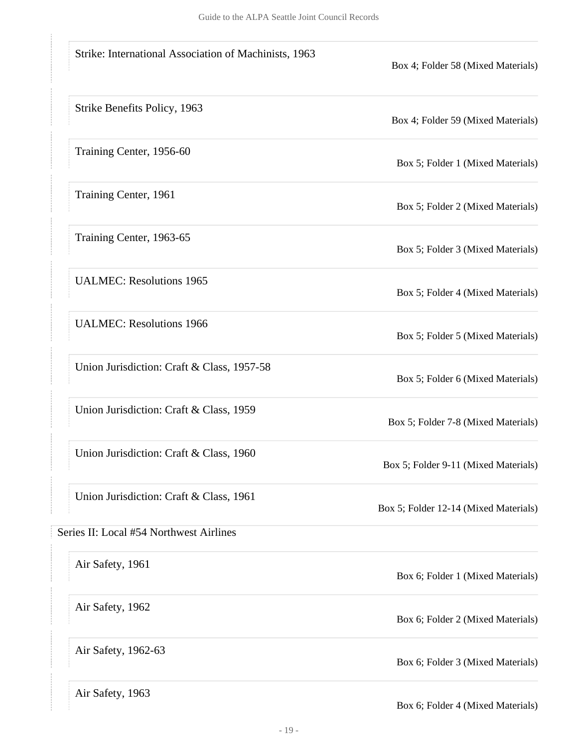<span id="page-18-0"></span>

| Strike: International Association of Machinists, 1963 | Box 4; Folder 58 (Mixed Materials)    |
|-------------------------------------------------------|---------------------------------------|
| Strike Benefits Policy, 1963                          | Box 4; Folder 59 (Mixed Materials)    |
| Training Center, 1956-60                              | Box 5; Folder 1 (Mixed Materials)     |
| Training Center, 1961                                 | Box 5; Folder 2 (Mixed Materials)     |
| Training Center, 1963-65                              | Box 5; Folder 3 (Mixed Materials)     |
| <b>UALMEC: Resolutions 1965</b>                       | Box 5; Folder 4 (Mixed Materials)     |
| <b>UALMEC: Resolutions 1966</b>                       | Box 5; Folder 5 (Mixed Materials)     |
| Union Jurisdiction: Craft & Class, 1957-58            | Box 5; Folder 6 (Mixed Materials)     |
| Union Jurisdiction: Craft & Class, 1959               | Box 5; Folder 7-8 (Mixed Materials)   |
| Union Jurisdiction: Craft & Class, 1960               | Box 5; Folder 9-11 (Mixed Materials)  |
| Union Jurisdiction: Craft & Class, 1961               | Box 5; Folder 12-14 (Mixed Materials) |
| Series II: Local #54 Northwest Airlines               |                                       |
| Air Safety, 1961                                      | Box 6; Folder 1 (Mixed Materials)     |
| Air Safety, 1962                                      | Box 6; Folder 2 (Mixed Materials)     |
| Air Safety, 1962-63                                   | Box 6; Folder 3 (Mixed Materials)     |
| Air Safety, 1963                                      | Box 6; Folder 4 (Mixed Materials)     |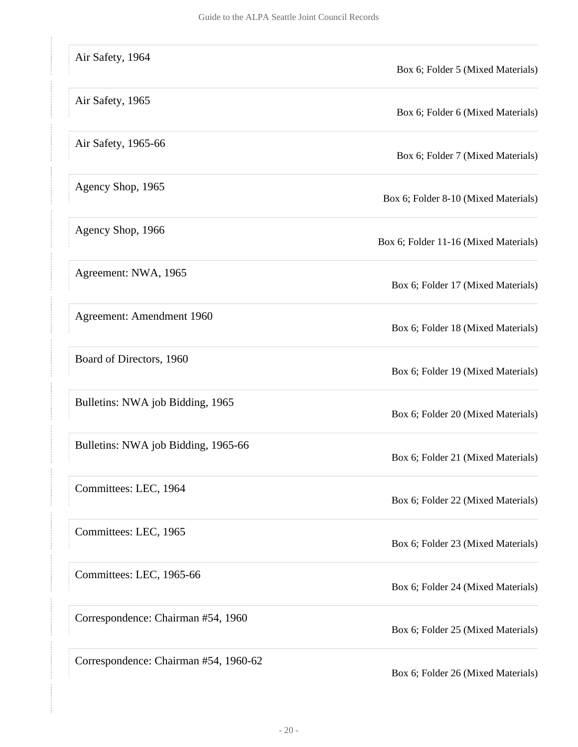| Air Safety, 1964                      | Box 6; Folder 5 (Mixed Materials)     |
|---------------------------------------|---------------------------------------|
| Air Safety, 1965                      | Box 6; Folder 6 (Mixed Materials)     |
| Air Safety, 1965-66                   | Box 6; Folder 7 (Mixed Materials)     |
| Agency Shop, 1965                     | Box 6; Folder 8-10 (Mixed Materials)  |
| Agency Shop, 1966                     | Box 6; Folder 11-16 (Mixed Materials) |
| Agreement: NWA, 1965                  | Box 6; Folder 17 (Mixed Materials)    |
| Agreement: Amendment 1960             | Box 6; Folder 18 (Mixed Materials)    |
| Board of Directors, 1960              | Box 6; Folder 19 (Mixed Materials)    |
| Bulletins: NWA job Bidding, 1965      | Box 6; Folder 20 (Mixed Materials)    |
| Bulletins: NWA job Bidding, 1965-66   | Box 6; Folder 21 (Mixed Materials)    |
| Committees: LEC, 1964                 | Box 6; Folder 22 (Mixed Materials)    |
| Committees: LEC, 1965                 | Box 6; Folder 23 (Mixed Materials)    |
| Committees: LEC, 1965-66              | Box 6; Folder 24 (Mixed Materials)    |
| Correspondence: Chairman #54, 1960    | Box 6; Folder 25 (Mixed Materials)    |
| Correspondence: Chairman #54, 1960-62 | Box 6; Folder 26 (Mixed Materials)    |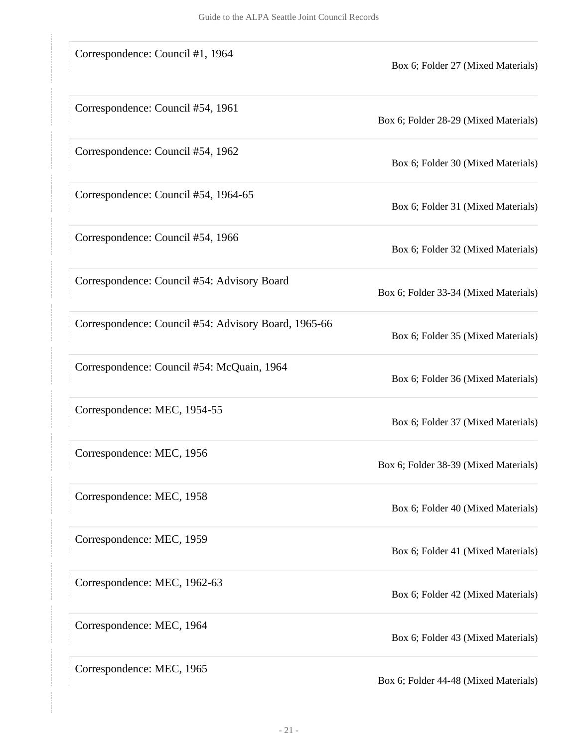| Correspondence: Council #1, 1964                     | Box 6; Folder 27 (Mixed Materials)    |
|------------------------------------------------------|---------------------------------------|
| Correspondence: Council #54, 1961                    | Box 6; Folder 28-29 (Mixed Materials) |
| Correspondence: Council #54, 1962                    | Box 6; Folder 30 (Mixed Materials)    |
| Correspondence: Council #54, 1964-65                 | Box 6; Folder 31 (Mixed Materials)    |
| Correspondence: Council #54, 1966                    | Box 6; Folder 32 (Mixed Materials)    |
| Correspondence: Council #54: Advisory Board          | Box 6; Folder 33-34 (Mixed Materials) |
| Correspondence: Council #54: Advisory Board, 1965-66 | Box 6; Folder 35 (Mixed Materials)    |
| Correspondence: Council #54: McQuain, 1964           | Box 6; Folder 36 (Mixed Materials)    |
| Correspondence: MEC, 1954-55                         | Box 6; Folder 37 (Mixed Materials)    |
| Correspondence: MEC, 1956                            | Box 6; Folder 38-39 (Mixed Materials) |
| Correspondence: MEC, 1958                            | Box 6; Folder 40 (Mixed Materials)    |
| Correspondence: MEC, 1959                            | Box 6; Folder 41 (Mixed Materials)    |
| Correspondence: MEC, 1962-63                         | Box 6; Folder 42 (Mixed Materials)    |
| Correspondence: MEC, 1964                            | Box 6; Folder 43 (Mixed Materials)    |
| Correspondence: MEC, 1965                            | Box 6; Folder 44-48 (Mixed Materials) |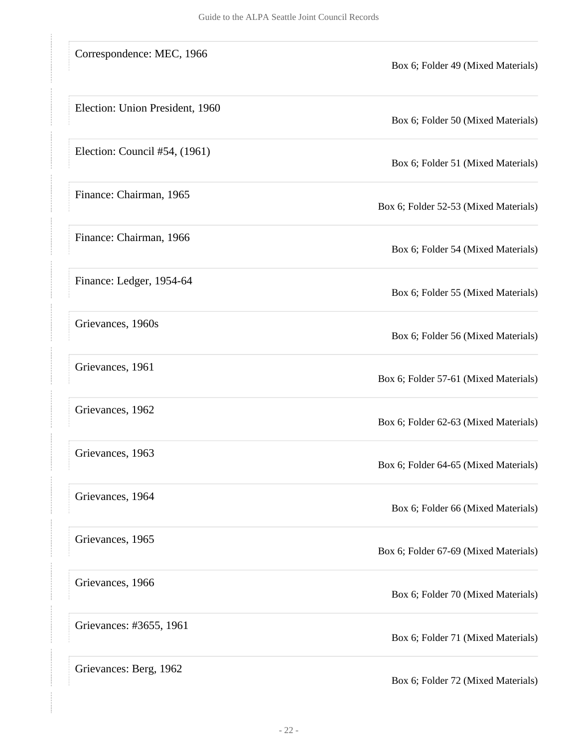| Correspondence: MEC, 1966       | Box 6; Folder 49 (Mixed Materials)    |
|---------------------------------|---------------------------------------|
| Election: Union President, 1960 | Box 6; Folder 50 (Mixed Materials)    |
| Election: Council #54, (1961)   | Box 6; Folder 51 (Mixed Materials)    |
| Finance: Chairman, 1965         | Box 6; Folder 52-53 (Mixed Materials) |
| Finance: Chairman, 1966         | Box 6; Folder 54 (Mixed Materials)    |
| Finance: Ledger, 1954-64        | Box 6; Folder 55 (Mixed Materials)    |
| Grievances, 1960s               | Box 6; Folder 56 (Mixed Materials)    |
| Grievances, 1961                | Box 6; Folder 57-61 (Mixed Materials) |
| Grievances, 1962                | Box 6; Folder 62-63 (Mixed Materials) |
| Grievances, 1963                | Box 6; Folder 64-65 (Mixed Materials) |
| Grievances, 1964                | Box 6; Folder 66 (Mixed Materials)    |
| Grievances, 1965                | Box 6; Folder 67-69 (Mixed Materials) |
| Grievances, 1966                | Box 6; Folder 70 (Mixed Materials)    |
| Grievances: #3655, 1961         | Box 6; Folder 71 (Mixed Materials)    |
| Grievances: Berg, 1962          | Box 6; Folder 72 (Mixed Materials)    |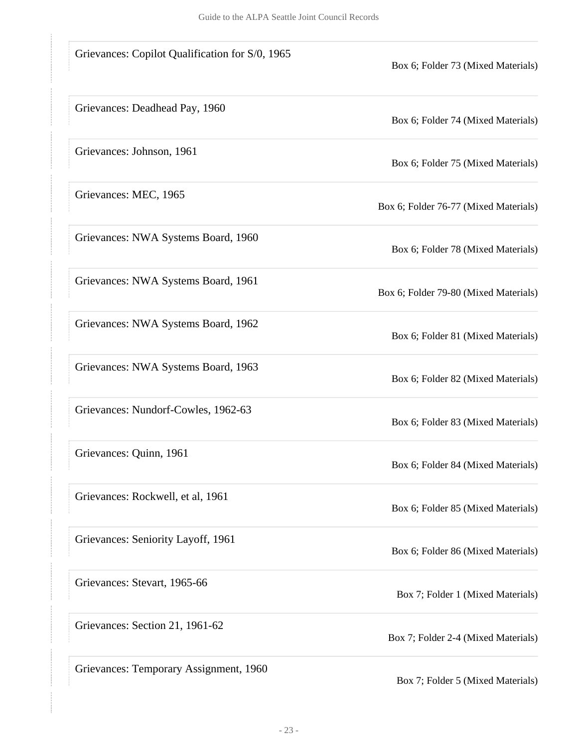| Grievances: Copilot Qualification for S/0, 1965 | Box 6; Folder 73 (Mixed Materials)    |
|-------------------------------------------------|---------------------------------------|
| Grievances: Deadhead Pay, 1960                  | Box 6; Folder 74 (Mixed Materials)    |
| Grievances: Johnson, 1961                       | Box 6; Folder 75 (Mixed Materials)    |
| Grievances: MEC, 1965                           | Box 6; Folder 76-77 (Mixed Materials) |
| Grievances: NWA Systems Board, 1960             | Box 6; Folder 78 (Mixed Materials)    |
| Grievances: NWA Systems Board, 1961             | Box 6; Folder 79-80 (Mixed Materials) |
| Grievances: NWA Systems Board, 1962             | Box 6; Folder 81 (Mixed Materials)    |
| Grievances: NWA Systems Board, 1963             | Box 6; Folder 82 (Mixed Materials)    |
| Grievances: Nundorf-Cowles, 1962-63             | Box 6; Folder 83 (Mixed Materials)    |
| Grievances: Quinn, 1961                         | Box 6; Folder 84 (Mixed Materials)    |
| Grievances: Rockwell, et al, 1961               | Box 6; Folder 85 (Mixed Materials)    |
| Grievances: Seniority Layoff, 1961              | Box 6; Folder 86 (Mixed Materials)    |
| Grievances: Stevart, 1965-66                    | Box 7; Folder 1 (Mixed Materials)     |
| Grievances: Section 21, 1961-62                 | Box 7; Folder 2-4 (Mixed Materials)   |
| Grievances: Temporary Assignment, 1960          | Box 7; Folder 5 (Mixed Materials)     |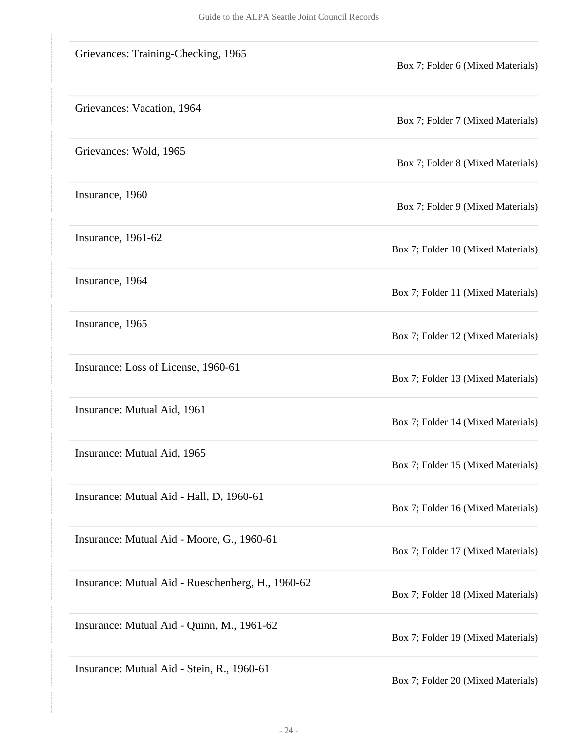| Grievances: Training-Checking, 1965               | Box 7; Folder 6 (Mixed Materials)  |
|---------------------------------------------------|------------------------------------|
| Grievances: Vacation, 1964                        | Box 7; Folder 7 (Mixed Materials)  |
| Grievances: Wold, 1965                            | Box 7; Folder 8 (Mixed Materials)  |
| Insurance, 1960                                   | Box 7; Folder 9 (Mixed Materials)  |
| Insurance, 1961-62                                | Box 7; Folder 10 (Mixed Materials) |
| Insurance, 1964                                   | Box 7; Folder 11 (Mixed Materials) |
| Insurance, 1965                                   | Box 7; Folder 12 (Mixed Materials) |
| Insurance: Loss of License, 1960-61               | Box 7; Folder 13 (Mixed Materials) |
| Insurance: Mutual Aid, 1961                       | Box 7; Folder 14 (Mixed Materials) |
| Insurance: Mutual Aid, 1965                       | Box 7; Folder 15 (Mixed Materials) |
| Insurance: Mutual Aid - Hall, D, 1960-61          | Box 7; Folder 16 (Mixed Materials) |
| Insurance: Mutual Aid - Moore, G., 1960-61        | Box 7; Folder 17 (Mixed Materials) |
| Insurance: Mutual Aid - Rueschenberg, H., 1960-62 | Box 7; Folder 18 (Mixed Materials) |
| Insurance: Mutual Aid - Quinn, M., 1961-62        | Box 7; Folder 19 (Mixed Materials) |
| Insurance: Mutual Aid - Stein, R., 1960-61        | Box 7; Folder 20 (Mixed Materials) |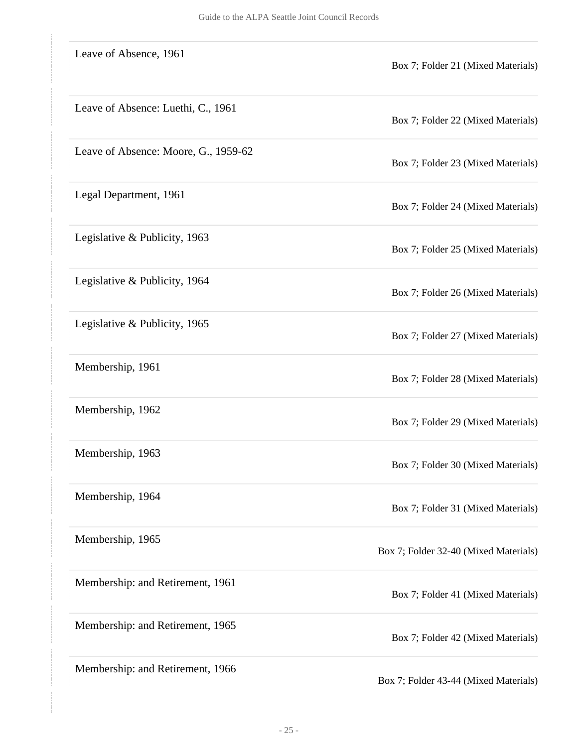| Leave of Absence, 1961               | Box 7; Folder 21 (Mixed Materials)    |
|--------------------------------------|---------------------------------------|
| Leave of Absence: Luethi, C., 1961   | Box 7; Folder 22 (Mixed Materials)    |
| Leave of Absence: Moore, G., 1959-62 | Box 7; Folder 23 (Mixed Materials)    |
| Legal Department, 1961               | Box 7; Folder 24 (Mixed Materials)    |
| Legislative & Publicity, 1963        | Box 7; Folder 25 (Mixed Materials)    |
| Legislative & Publicity, 1964        | Box 7; Folder 26 (Mixed Materials)    |
| Legislative & Publicity, 1965        | Box 7; Folder 27 (Mixed Materials)    |
| Membership, 1961                     | Box 7; Folder 28 (Mixed Materials)    |
| Membership, 1962                     | Box 7; Folder 29 (Mixed Materials)    |
| Membership, 1963                     | Box 7; Folder 30 (Mixed Materials)    |
| Membership, 1964                     | Box 7; Folder 31 (Mixed Materials)    |
| Membership, 1965                     | Box 7; Folder 32-40 (Mixed Materials) |
| Membership: and Retirement, 1961     | Box 7; Folder 41 (Mixed Materials)    |
| Membership: and Retirement, 1965     | Box 7; Folder 42 (Mixed Materials)    |
| Membership: and Retirement, 1966     | Box 7; Folder 43-44 (Mixed Materials) |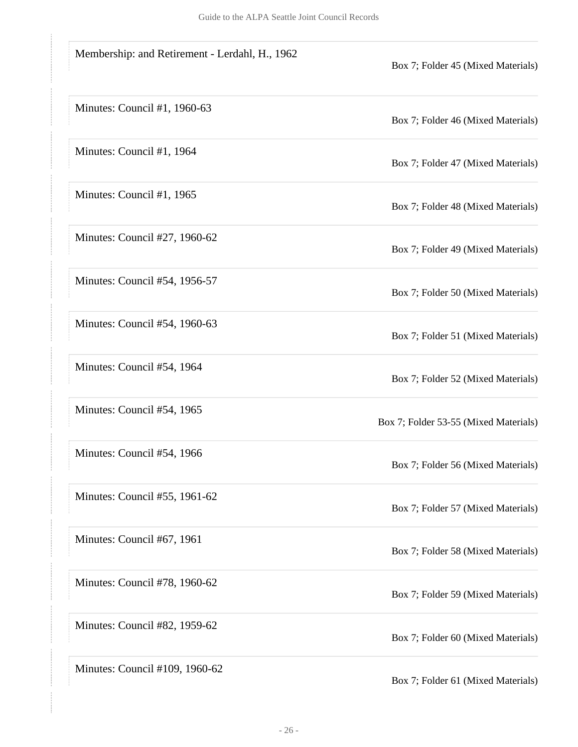| Membership: and Retirement - Lerdahl, H., 1962 | Box 7; Folder 45 (Mixed Materials)    |
|------------------------------------------------|---------------------------------------|
| Minutes: Council #1, 1960-63                   | Box 7; Folder 46 (Mixed Materials)    |
| Minutes: Council #1, 1964                      | Box 7; Folder 47 (Mixed Materials)    |
| Minutes: Council #1, 1965                      | Box 7; Folder 48 (Mixed Materials)    |
| Minutes: Council #27, 1960-62                  | Box 7; Folder 49 (Mixed Materials)    |
| Minutes: Council #54, 1956-57                  | Box 7; Folder 50 (Mixed Materials)    |
| Minutes: Council #54, 1960-63                  | Box 7; Folder 51 (Mixed Materials)    |
| Minutes: Council #54, 1964                     | Box 7; Folder 52 (Mixed Materials)    |
| Minutes: Council #54, 1965                     | Box 7; Folder 53-55 (Mixed Materials) |
| Minutes: Council #54, 1966                     | Box 7; Folder 56 (Mixed Materials)    |
| Minutes: Council #55, 1961-62                  | Box 7; Folder 57 (Mixed Materials)    |
| Minutes: Council #67, 1961                     | Box 7; Folder 58 (Mixed Materials)    |
| Minutes: Council #78, 1960-62                  | Box 7; Folder 59 (Mixed Materials)    |
| Minutes: Council #82, 1959-62                  | Box 7; Folder 60 (Mixed Materials)    |
| Minutes: Council #109, 1960-62                 | Box 7; Folder 61 (Mixed Materials)    |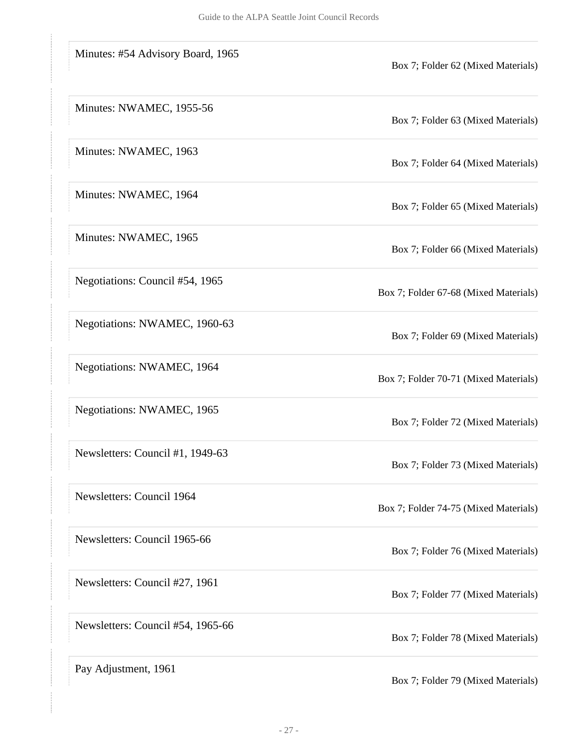| Minutes: #54 Advisory Board, 1965 | Box 7; Folder 62 (Mixed Materials)    |
|-----------------------------------|---------------------------------------|
| Minutes: NWAMEC, 1955-56          | Box 7; Folder 63 (Mixed Materials)    |
| Minutes: NWAMEC, 1963             | Box 7; Folder 64 (Mixed Materials)    |
| Minutes: NWAMEC, 1964             | Box 7; Folder 65 (Mixed Materials)    |
| Minutes: NWAMEC, 1965             | Box 7; Folder 66 (Mixed Materials)    |
| Negotiations: Council #54, 1965   | Box 7; Folder 67-68 (Mixed Materials) |
| Negotiations: NWAMEC, 1960-63     | Box 7; Folder 69 (Mixed Materials)    |
| Negotiations: NWAMEC, 1964        | Box 7; Folder 70-71 (Mixed Materials) |
| Negotiations: NWAMEC, 1965        | Box 7; Folder 72 (Mixed Materials)    |
| Newsletters: Council #1, 1949-63  | Box 7; Folder 73 (Mixed Materials)    |
| Newsletters: Council 1964         | Box 7; Folder 74-75 (Mixed Materials) |
| Newsletters: Council 1965-66      | Box 7; Folder 76 (Mixed Materials)    |
| Newsletters: Council #27, 1961    | Box 7; Folder 77 (Mixed Materials)    |
| Newsletters: Council #54, 1965-66 | Box 7; Folder 78 (Mixed Materials)    |
| Pay Adjustment, 1961              | Box 7; Folder 79 (Mixed Materials)    |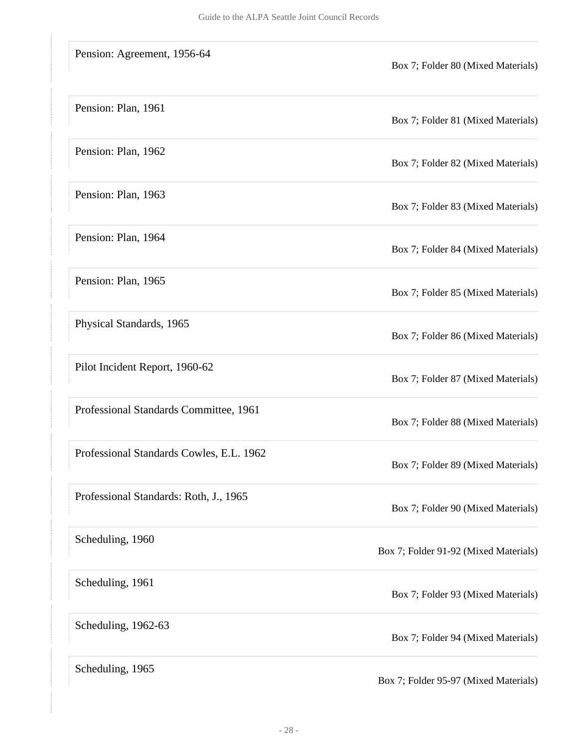| Pension: Agreement, 1956-64              | Box 7; Folder 80 (Mixed Materials)    |
|------------------------------------------|---------------------------------------|
| Pension: Plan, 1961                      | Box 7; Folder 81 (Mixed Materials)    |
| Pension: Plan, 1962                      | Box 7; Folder 82 (Mixed Materials)    |
| Pension: Plan, 1963                      | Box 7; Folder 83 (Mixed Materials)    |
| Pension: Plan, 1964                      | Box 7; Folder 84 (Mixed Materials)    |
| Pension: Plan, 1965                      | Box 7; Folder 85 (Mixed Materials)    |
| Physical Standards, 1965                 | Box 7; Folder 86 (Mixed Materials)    |
| Pilot Incident Report, 1960-62           | Box 7; Folder 87 (Mixed Materials)    |
| Professional Standards Committee, 1961   | Box 7; Folder 88 (Mixed Materials)    |
| Professional Standards Cowles, E.L. 1962 | Box 7; Folder 89 (Mixed Materials)    |
| Professional Standards: Roth, J., 1965   | Box 7; Folder 90 (Mixed Materials)    |
| Scheduling, 1960                         | Box 7; Folder 91-92 (Mixed Materials) |
| Scheduling, 1961                         | Box 7; Folder 93 (Mixed Materials)    |
| Scheduling, 1962-63                      | Box 7; Folder 94 (Mixed Materials)    |
| Scheduling, 1965                         | Box 7; Folder 95-97 (Mixed Materials) |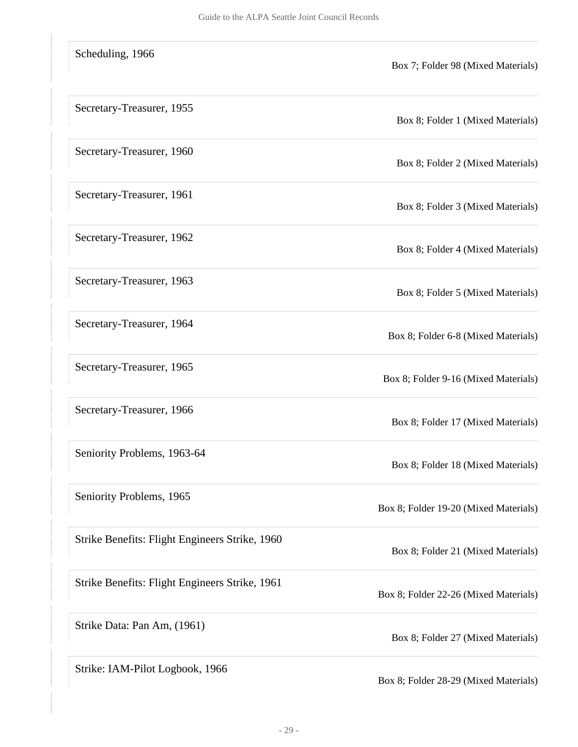| Scheduling, 1966                               | Box 7; Folder 98 (Mixed Materials)    |
|------------------------------------------------|---------------------------------------|
| Secretary-Treasurer, 1955                      | Box 8; Folder 1 (Mixed Materials)     |
| Secretary-Treasurer, 1960                      | Box 8; Folder 2 (Mixed Materials)     |
| Secretary-Treasurer, 1961                      | Box 8; Folder 3 (Mixed Materials)     |
| Secretary-Treasurer, 1962                      | Box 8; Folder 4 (Mixed Materials)     |
| Secretary-Treasurer, 1963                      | Box 8; Folder 5 (Mixed Materials)     |
| Secretary-Treasurer, 1964                      | Box 8; Folder 6-8 (Mixed Materials)   |
| Secretary-Treasurer, 1965                      | Box 8; Folder 9-16 (Mixed Materials)  |
| Secretary-Treasurer, 1966                      | Box 8; Folder 17 (Mixed Materials)    |
| Seniority Problems, 1963-64                    | Box 8; Folder 18 (Mixed Materials)    |
| Seniority Problems, 1965                       | Box 8; Folder 19-20 (Mixed Materials) |
| Strike Benefits: Flight Engineers Strike, 1960 | Box 8; Folder 21 (Mixed Materials)    |
| Strike Benefits: Flight Engineers Strike, 1961 | Box 8; Folder 22-26 (Mixed Materials) |
| Strike Data: Pan Am, (1961)                    | Box 8; Folder 27 (Mixed Materials)    |
| Strike: IAM-Pilot Logbook, 1966                | Box 8; Folder 28-29 (Mixed Materials) |